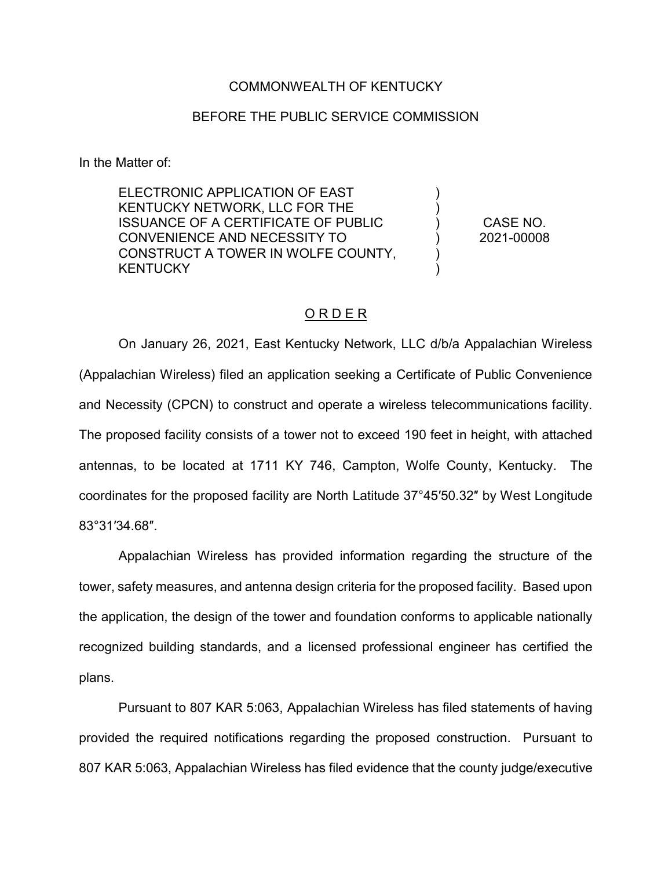## COMMONWEALTH OF KENTUCKY

## BEFORE THE PUBLIC SERVICE COMMISSION

In the Matter of:

ELECTRONIC APPLICATION OF EAST KENTUCKY NETWORK, LLC FOR THE ISSUANCE OF A CERTIFICATE OF PUBLIC CONVENIENCE AND NECESSITY TO CONSTRUCT A TOWER IN WOLFE COUNTY, **KENTUCKY** 

CASE NO. 2021-00008

) ) ) ) ) )

## O R D E R

On January 26, 2021, East Kentucky Network, LLC d/b/a Appalachian Wireless (Appalachian Wireless) filed an application seeking a Certificate of Public Convenience and Necessity (CPCN) to construct and operate a wireless telecommunications facility. The proposed facility consists of a tower not to exceed 190 feet in height, with attached antennas, to be located at 1711 KY 746, Campton, Wolfe County, Kentucky. The coordinates for the proposed facility are North Latitude 37°45′50.32″ by West Longitude 83°31′34.68″.

Appalachian Wireless has provided information regarding the structure of the tower, safety measures, and antenna design criteria for the proposed facility. Based upon the application, the design of the tower and foundation conforms to applicable nationally recognized building standards, and a licensed professional engineer has certified the plans.

Pursuant to 807 KAR 5:063, Appalachian Wireless has filed statements of having provided the required notifications regarding the proposed construction. Pursuant to 807 KAR 5:063, Appalachian Wireless has filed evidence that the county judge/executive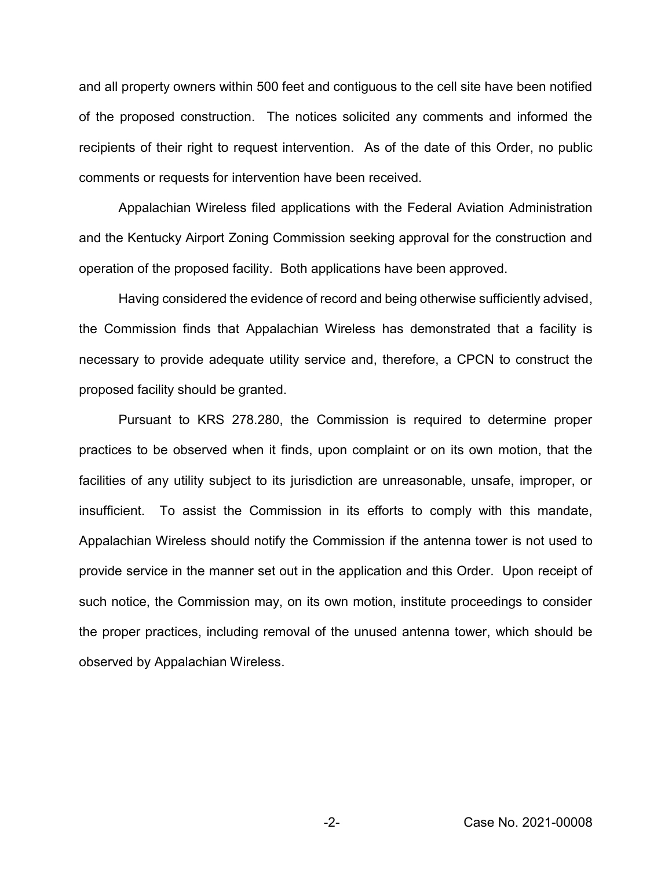and all property owners within 500 feet and contiguous to the cell site have been notified of the proposed construction. The notices solicited any comments and informed the recipients of their right to request intervention. As of the date of this Order, no public comments or requests for intervention have been received.

Appalachian Wireless filed applications with the Federal Aviation Administration and the Kentucky Airport Zoning Commission seeking approval for the construction and operation of the proposed facility. Both applications have been approved.

Having considered the evidence of record and being otherwise sufficiently advised, the Commission finds that Appalachian Wireless has demonstrated that a facility is necessary to provide adequate utility service and, therefore, a CPCN to construct the proposed facility should be granted.

Pursuant to KRS 278.280, the Commission is required to determine proper practices to be observed when it finds, upon complaint or on its own motion, that the facilities of any utility subject to its jurisdiction are unreasonable, unsafe, improper, or insufficient. To assist the Commission in its efforts to comply with this mandate, Appalachian Wireless should notify the Commission if the antenna tower is not used to provide service in the manner set out in the application and this Order. Upon receipt of such notice, the Commission may, on its own motion, institute proceedings to consider the proper practices, including removal of the unused antenna tower, which should be observed by Appalachian Wireless.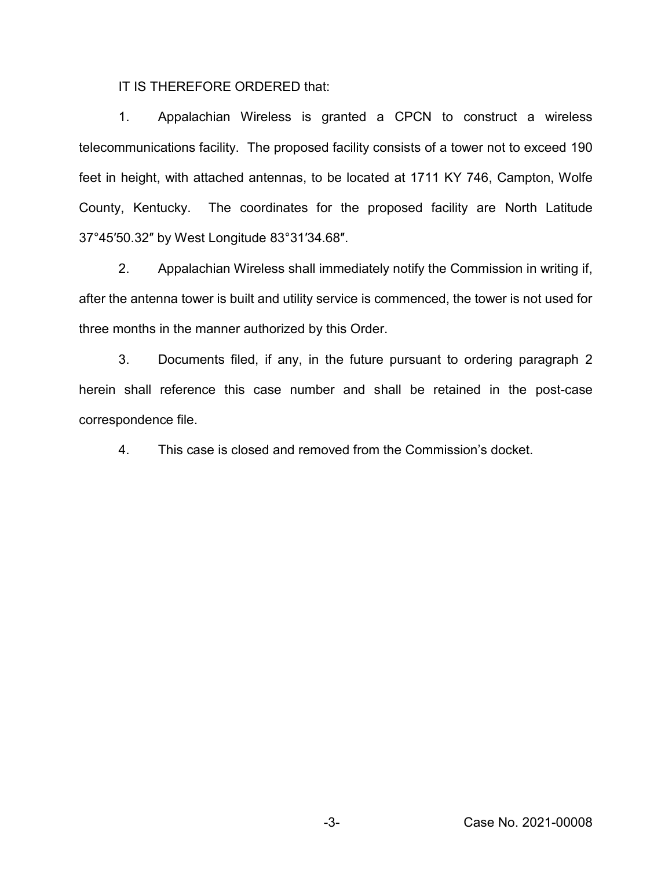IT IS THEREFORE ORDERED that:

1. Appalachian Wireless is granted a CPCN to construct a wireless telecommunications facility. The proposed facility consists of a tower not to exceed 190 feet in height, with attached antennas, to be located at 1711 KY 746, Campton, Wolfe County, Kentucky. The coordinates for the proposed facility are North Latitude 37°45′50.32″ by West Longitude 83°31′34.68″.

2. Appalachian Wireless shall immediately notify the Commission in writing if, after the antenna tower is built and utility service is commenced, the tower is not used for three months in the manner authorized by this Order.

3. Documents filed, if any, in the future pursuant to ordering paragraph 2 herein shall reference this case number and shall be retained in the post-case correspondence file.

4. This case is closed and removed from the Commission's docket.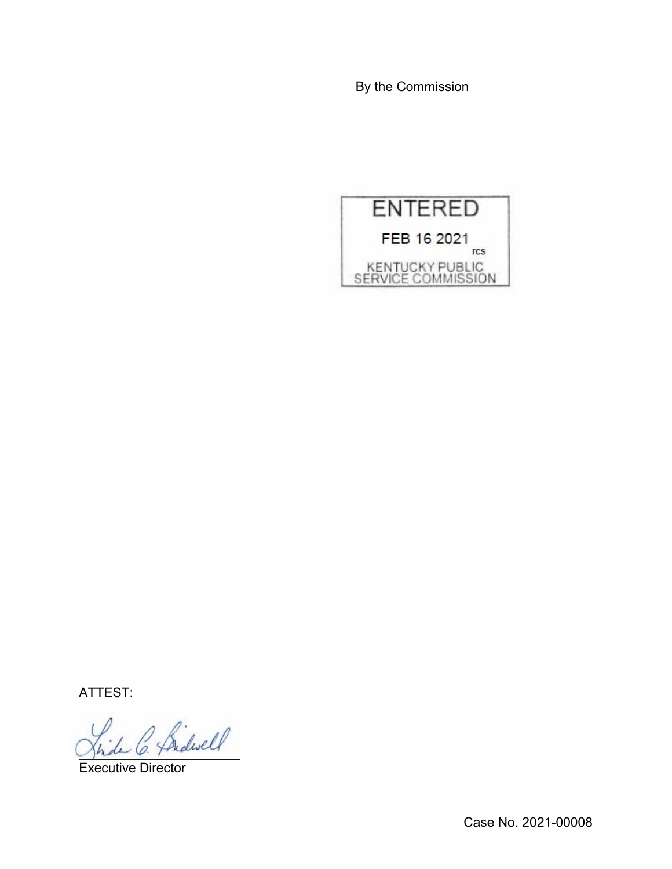By the Commission



ATTEST:

2 Bidwell

Executive Director

Case No. 2021-00008